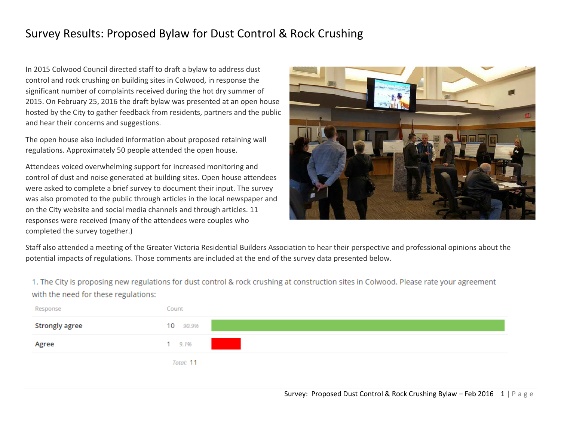# Survey Results: Proposed Bylaw for Dust Control & Rock Crushing

In 2015 Colwood Council directed staff to draft a bylaw to address dust control and rock crushing on building sites in Colwood, in response the significant number of complaints received during the hot dry summer of 2015. On February 25, 2016 the draft bylaw was presented at an open house hosted by the City to gather feedback from residents, partners and the public and hear their concerns and suggestions.

The open house also included information about proposed retaining wall regulations. Approximately 50 people attended the open house.

Attendees voiced overwhelming support for increased monitoring and control of dust and noise generated at building sites. Open house attendees were asked to complete a brief survey to document their input. The survey was also promoted to the public through articles in the local newspaper and on the City website and social media channels and through articles. 11 responses were received (many of the attendees were couples who completed the survey together.)



Staff also attended a meeting of the Greater Victoria Residential Builders Association to hear their perspective and professional opinions about the potential impacts of regulations. Those comments are included at the end of the survey data presented below.

1. The City is proposing new regulations for dust control & rock crushing at construction sites in Colwood. Please rate your agreement with the need for these regulations:

| Response       | Count      |
|----------------|------------|
| Strongly agree | 10 90.9%   |
| Agree          | $1 \t9.1%$ |
|                | Total: 11  |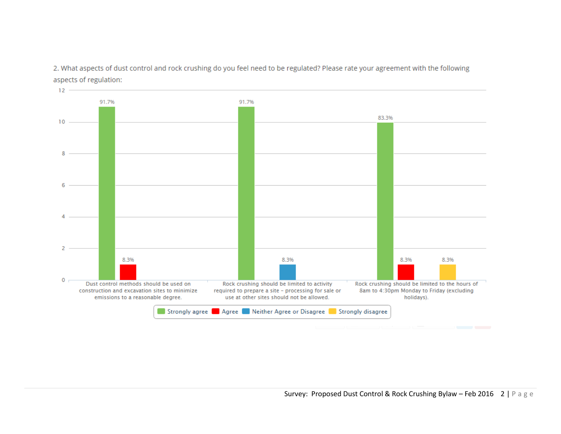2. What aspects of dust control and rock crushing do you feel need to be regulated? Please rate your agreement with the following aspects of regulation:

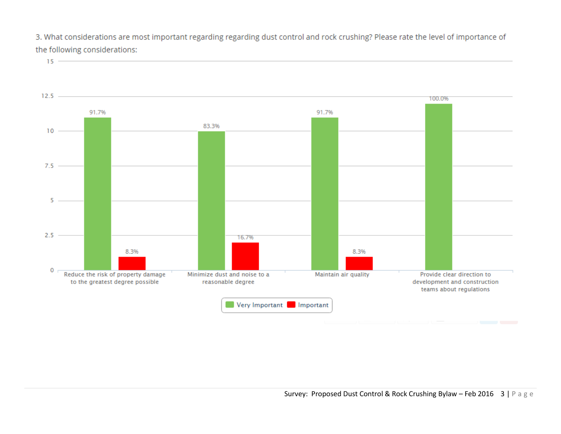3. What considerations are most important regarding regarding dust control and rock crushing? Please rate the level of importance of the following considerations:

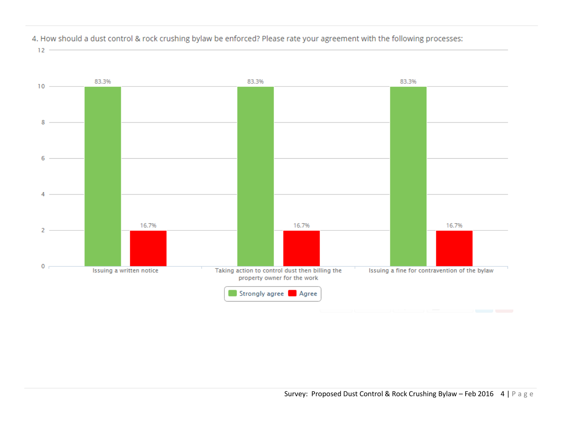![](_page_3_Figure_0.jpeg)

4. How should a dust control & rock crushing bylaw be enforced? Please rate your agreement with the following processes:

 $12 -$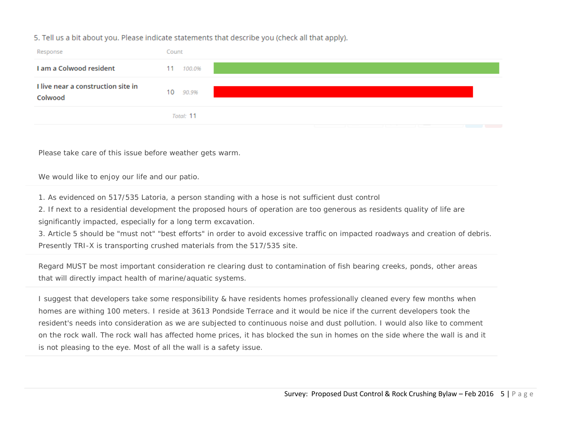### 5. Tell us a bit about you. Please indicate statements that describe you (check all that apply).

| Response                                      | Count        |
|-----------------------------------------------|--------------|
| I am a Colwood resident                       | 100.0%<br>11 |
| I live near a construction site in<br>Colwood | 10<br>90.9%  |
|                                               | Total: 11    |
|                                               |              |

Please take care of this issue before weather gets warm.

#### We would like to enjoy our life and our patio.

1. As evidenced on 517/535 Latoria, a person standing with a hose is not sufficient dust control

2. If next to a residential development the proposed hours of operation are too generous as residents quality of life are significantly impacted, especially for a long term excavation.

3. Article 5 should be "must not" "best efforts" in order to avoid excessive traffic on impacted roadways and creation of debris. Presently TRI-X is transporting crushed materials from the 517/535 site.

Regard MUST be most important consideration re clearing dust to contamination of fish bearing creeks, ponds, other areas that will directly impact health of marine/aquatic systems.

I suggest that developers take some responsibility & have residents homes professionally cleaned every few months when homes are withing 100 meters. I reside at 3613 Pondside Terrace and it would be nice if the current developers took the resident's needs into consideration as we are subjected to continuous noise and dust pollution. I would also like to comment on the rock wall. The rock wall has affected home prices, it has blocked the sun in homes on the side where the wall is and it is not pleasing to the eye. Most of all the wall is a safety issue.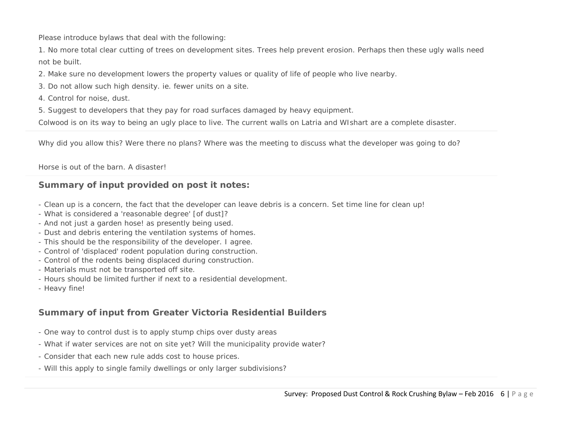Please introduce bylaws that deal with the following:

1. No more total clear cutting of trees on development sites. Trees help prevent erosion. Perhaps then these ugly walls need not be built.

2. Make sure no development lowers the property values or quality of life of people who live nearby.

- 3. Do not allow such high density. ie. fewer units on a site.
- 4. Control for noise, dust.
- 5. Suggest to developers that they pay for road surfaces damaged by heavy equipment.

Colwood is on its way to being an ugly place to live. The current walls on Latria and WIshart are a complete disaster.

Why did you allow this? Were there no plans? Where was the meeting to discuss what the developer was going to do?

Horse is out of the barn. A disaster!

## **Summary of input provided on post it notes:**

- Clean up is a concern, the fact that the developer can leave debris is a concern. Set time line for clean up!
- What is considered a 'reasonable degree' [of dust]?
- And not just a garden hose! as presently being used.
- Dust and debris entering the ventilation systems of homes.
- This should be the responsibility of the developer. I agree.
- Control of 'displaced' rodent population during construction.
- Control of the rodents being displaced during construction.
- Materials must not be transported off site.
- Hours should be limited further if next to a residential development.
- Heavy fine!

## **Summary of input from Greater Victoria Residential Builders**

- One way to control dust is to apply stump chips over dusty areas
- What if water services are not on site yet? Will the municipality provide water?
- Consider that each new rule adds cost to house prices.
- Will this apply to single family dwellings or only larger subdivisions?